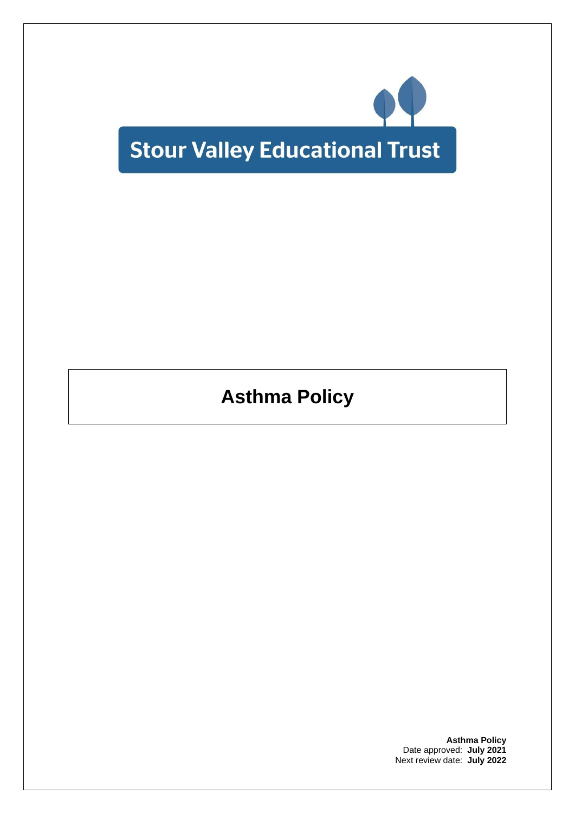

**Asthma Policy**

**Asthma Policy** Date approved: **July 2021** Next review date: **July 2022**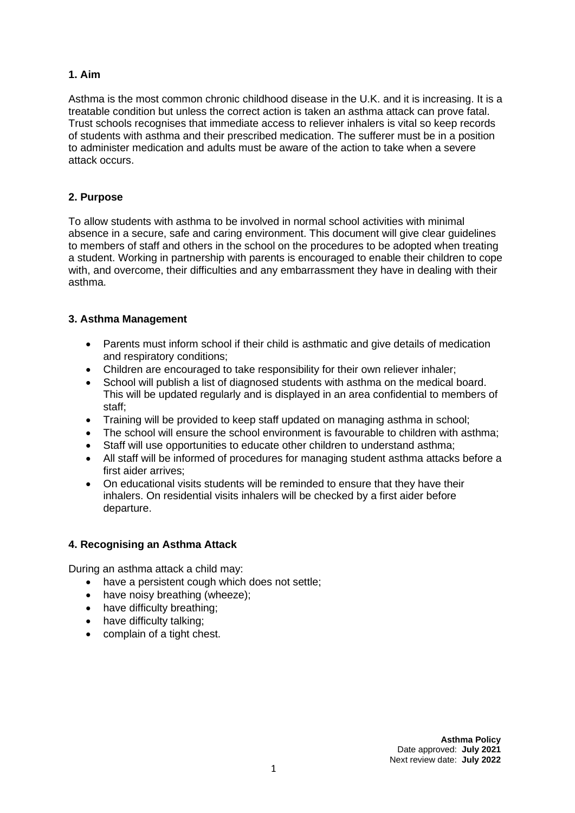# **1. Aim**

Asthma is the most common chronic childhood disease in the U.K. and it is increasing. It is a treatable condition but unless the correct action is taken an asthma attack can prove fatal. Trust schools recognises that immediate access to reliever inhalers is vital so keep records of students with asthma and their prescribed medication. The sufferer must be in a position to administer medication and adults must be aware of the action to take when a severe attack occurs.

## **2. Purpose**

To allow students with asthma to be involved in normal school activities with minimal absence in a secure, safe and caring environment. This document will give clear guidelines to members of staff and others in the school on the procedures to be adopted when treating a student. Working in partnership with parents is encouraged to enable their children to cope with, and overcome, their difficulties and any embarrassment they have in dealing with their asthma.

### **3. Asthma Management**

- Parents must inform school if their child is asthmatic and give details of medication and respiratory conditions;
- Children are encouraged to take responsibility for their own reliever inhaler;
- School will publish a list of diagnosed students with asthma on the medical board. This will be updated regularly and is displayed in an area confidential to members of staff;
- Training will be provided to keep staff updated on managing asthma in school;
- The school will ensure the school environment is favourable to children with asthma;
- Staff will use opportunities to educate other children to understand asthma;
- All staff will be informed of procedures for managing student asthma attacks before a first aider arrives;
- On educational visits students will be reminded to ensure that they have their inhalers. On residential visits inhalers will be checked by a first aider before departure.

#### **4. Recognising an Asthma Attack**

During an asthma attack a child may:

- have a persistent cough which does not settle;
- have noisy breathing (wheeze);
- have difficulty breathing;
- have difficulty talking;
- complain of a tight chest.